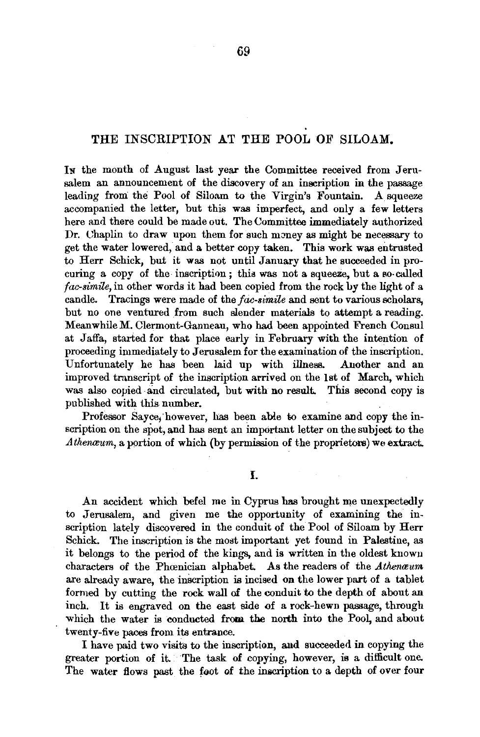## THE INSCRIPTION AT THE POOL OF SILOAM.

In the month of August last year the Committee received from Jerusalem an announcement of the discovery of an inscription in the passage leading from the Pool of Siloam to the Virgin's Fountain. A squeeze accompanied the letter, but this was imperfect, and only a few letters here and there could be made out. The Committee immediately authorized Dr. Chaplin to draw upon them for such money as might be necessary to get the water lowered, and a better copy taken. This work was entrusted to Herr Schick, but it was not until January that he succeeded in procuring a copy of the inscription; this was not a squeeze, but a so-called *fac-simile,* in other words it had been copied from the rock by the light of a. candle. Tracings were made of the *fac-simile* and sent to various scholars, but no one ventured from such slender materials to attempt a reading. Meanwhile M. Clermont-Ganneau, who had been appointed French Consul at Jaffa., started for that place early in February with the intention of proceeding immediately to Jerusalem for the examination of the inscription. Unfortunately he has been laid up with illness. Another and an improved transcript of the inscription arrived on the lst of March, which was also copied and circulated, but with no result. This second copy is published with this number.

Professor Sayce, however, has been able to examine and copy the inscription on the spot, and has sent an important letter on the subject to the Athenaum, a portion of which (by permission of the proprietors) we extract.

An accident which befel me in Cyprus has brought me unexpectedly to Jerusalem, and given me the opportunity of examining the inscription lately discovered in the conduit of the Pool of Siloam by Herr Schick. The inscription is the most important yet found in Palestine, as it belongs to the period of the kings, and is written in the oldest known characters of the Phœnician alphabet. As the readers of the *Athenwum* are already aware, the inscription is incised on the lower part of a tablet formed by cutting the rock wall of the conduit to the depth of about an inch. It is engraved on the east side of a rock-hewn passage, through inch. It is engraved on the east side of a rock-hewn passage, through which the water is conducted from the north into the Pool, and about twenty-five paces from its entrance.

I have paid two visits to the inscription, and succeeded in copying the greater portion of it. The task of copying, however, is a difficult one. The water flows past the foot of the inscription to a depth of over four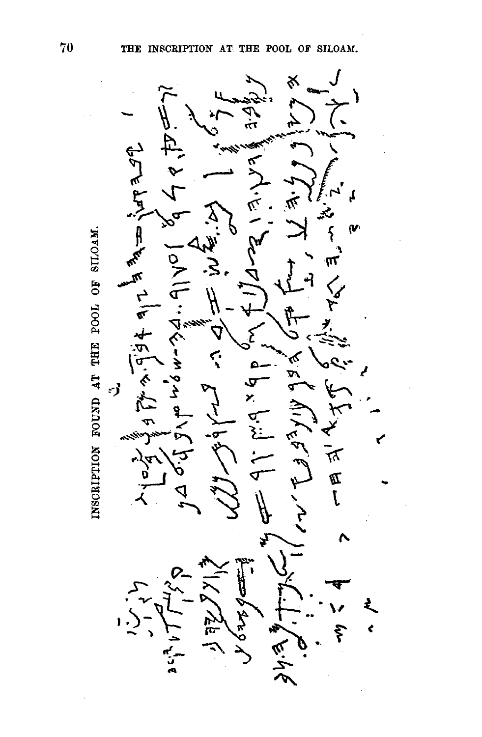75  $A = \frac{1}{2} \pi \sqrt{2}$ こ  $F = \frac{1}{2}$ ・マク・  $+5.6$ きゅう - 3  $\frac{1}{x}$  big  $\frac{1}{x}$ ふこんし  $\zeta$   $\zeta$   $\zeta$ 下四  $8429$ ぐんへ

INSCRIPTION FOUND AT THE POOL OF SILOAM.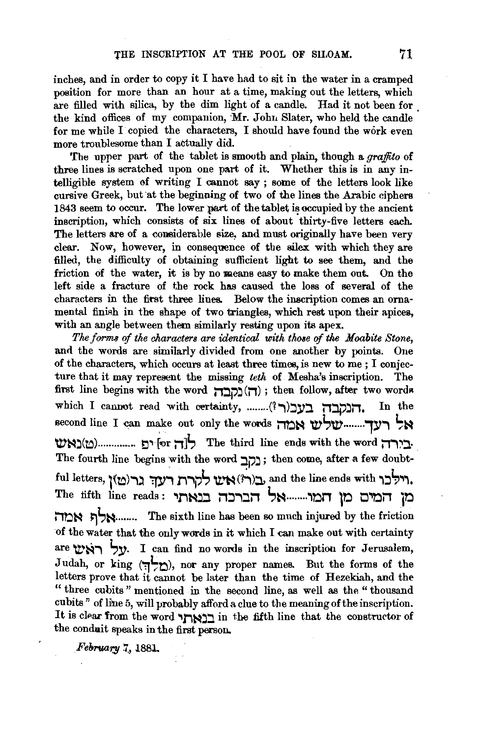inches, and in order to copy it I have had to sit in the water in a cramped position for more than an hour at a time, making out the letters, which are filled with silica, by the dim light of a candle. Had it not been for the kind offices of my companion, Mr. John Slater, who held the candle for me while I copied the characters, I should have found the work even more troublesome than I actually did.

The upper part of the tablet is smooth and plain, though a *graffito* of three lines is scratched upon one part of it. Whether this is in any intelligible system of writing I cannot say ; some of the letters look like cursive Greek, but at the beginning of two of the lines the Arabic ciphers 1843 seem to occur. The lower part of the tablet is occupied by the ancient inscription, which consists of six lines of about thirty-five letters each. The letters are of a considerable size, and must originally have been very clear. Now, however, in consequence of the silex with which they are filled, the difficulty of obtaining sufficient light to see them, and the friction of the water, it is by no means easy to make them out. On the left side a fracture of the rock has caused the loss of several of the characters in the first three lines. Below the inscription comes an ornamental finish in the shape of two triangles, which rest upon their apices, with an angle between them similarly resting upon its apex.

*The forms of the characters are identical with those of the Moabite Stone,* and the words are similarly divided from one another by points. One of the characters, which occurs at least three times, is new to me ; I conjecture that it may represent the missing *teth* of Mesha's inscription. The first line begins with the word **il:lp.:l (il)** ; then follow, after two wordR which I cannot read with certainty, .........(?) הנקבה בעכור second line I can make out only the woros **iroN w-',w-........ ,y.,** ~Il-l **W'N.:l(to) ..............** E:i"~ [~r **il]t,** The third line ends with the word **il.,/::l·**  The fourth line begins with the word ; נקב; then come, after a few doubtful letters, l~to).,~ **':fl"11i"'J?t, U."N** (~)~ and the line ends with '\~~'1'\. The fifth line reads : '11"1~ il~.,:lil **l,N ........ '\'DJ1 10 l:J'I'Qil j'D וֹת אמה:** The sixth line has been so much injured by the friction of the water that the only wards in it which I can make out with certainty are with right). I can find no words in the inscription for Jerusalem, Judah, or king  $(\Box)$ ), nor any proper names. But the forms of the letters prove that it cannot be later than the time of Hezekiah, and the " three cubits" mentioned in the second line, as well as the "thousand cubits" of line 5, will probably afford a clue to the meaning of the inscription. It is clear from the word "תוארן in the fifth line that the constructor of the conduit speaks in the first person.

*February* 7, 1881.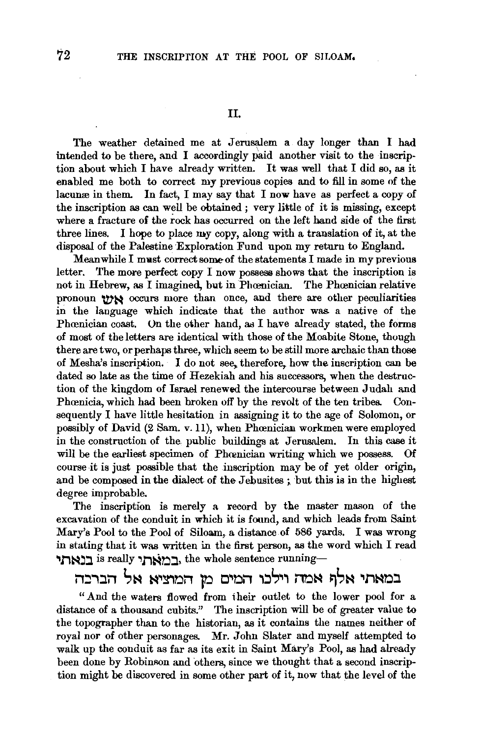The weather detained me at Jerusalem a day longer than I had intended to be there, and I accordingly Paid another visit to the inscription about which I have already written. It was well that I did so, as it enabled me both to correct my previous copies and to fill in some of the lacunce in them. In fact, I may say that I now have as perfect a copy of the inscription as can well be obtained ; very little of it is missing, except where a fracture of the rock has occurred on the left hand side of the first three lines. I hope to place my copy, along with a translation of it, at the disposal of the Palestine Exploration Fund upon my return to England.

Meanwhile I must correct some of the statements I made in my previous letter. The more perfect copy I now possess shows that the inscription is not in Hebrew, as I imagined, but in Phœnician. The Phœnician relative pronoun was occurs more than once, and there are other peculiarities in the language which indicate that the author was. a native of the Phœnician coast. On the other hand, as I have already stated, the forms of most of the letters are identical with those of the Moabite Stone, though there are two, or perhaps three, which seem to be still more archaic than those of Mesha's inscription. I do not see, therefore, how the inscription can be dated so late as the time of Hezekiah and his successors, when the destruction of the kingdom of Israel renewed the intercourse between Judah and Phœnicia, which had been broken off by the revolt of the ten tribes. Consequently I have little hesitation in assigning it to the age of Solomon, or possibly of David (2 Sam. v. 11), when Phœnician workmen were employed in the construction of the. public buildings at Jerusalem. In this case it will be the earliest specimen of Phoenician writing which we possess. Of course it is just possible that the inscription may be of yet older origin, and be composed in the dialect of the Jebusites; but this is in the highest degree improbable.

The inscription is merely a record by the master mason of the excavation of the conduit in which it is found, and which leads from Saint Mary's Pool to the Pool of Siloam, a distance of 586 yards. I was wrong in stating that it was written in the first person, as the word which I read רואתי is really ,דרואתי the whole sentence running-

במאתי אלף אמה וילנו המים מן המוציא אל הברכד.

"And the waters flowed from their outlet to the lower pool for a distance of a thousand cubits." The inscription will be of greater value to the topographer than to the historian, as it contains the names neither of royal nor of other personages. Mr. John Slater and myself attempted to walk up the conduit as far as its exit in Saint Mary's Pool, as had already been done by Robinson and others, since we thought that a second inscription might be discovered in some other part of it, now that the level of the